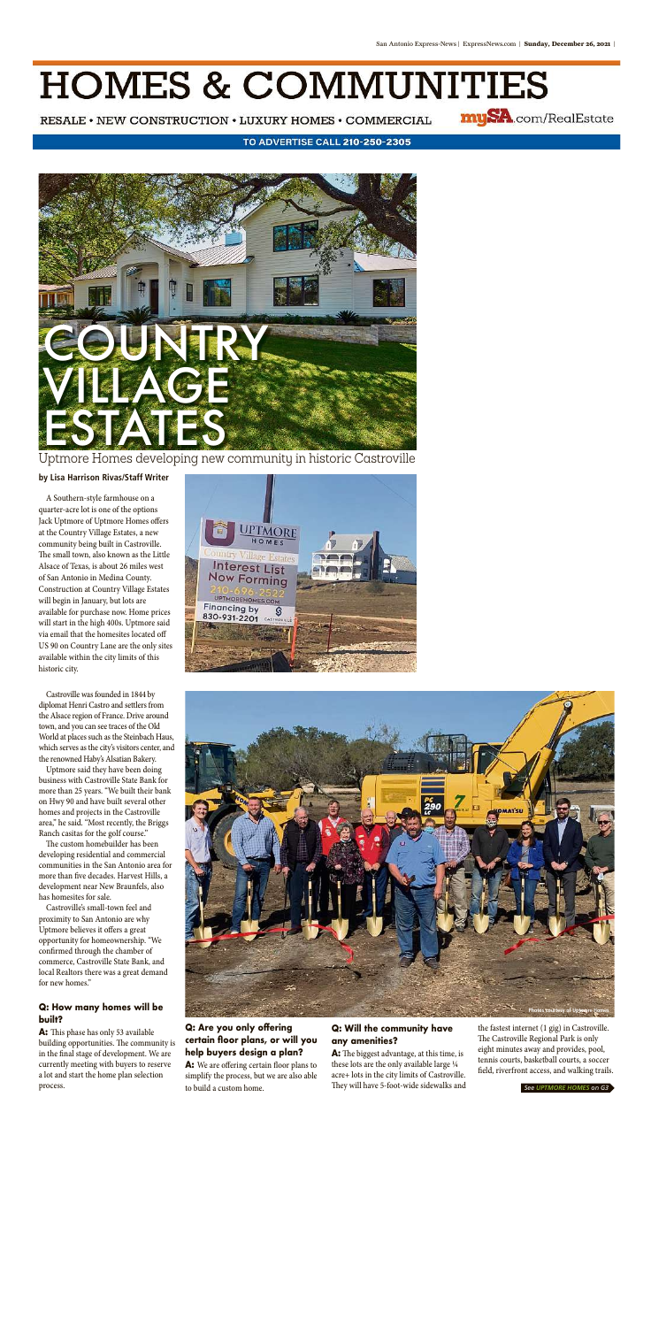# **HOMES & COMMUNITIES**

RESALE • NEW CONSTRUCTION • LUXURY HOMES • COMMERCIAL

mySA.com/RealEstate

#### TO ADVERTISE CALL 210-250-2305

A Southern-style farmhouse on a quarter-acre lot is one of the options Jack Uptmore of Uptmore Homes offers at the Country Village Estates, a new community being built in Castroville. The small town, also known as the Little Alsace of Texas, is about 26 miles west of San Antonio in Medina County. Construction at Country Village Estates will begin in January, but lots are available for purchase now. Home prices will start in the high 400s. Uptmore said via email that the homesites located off US 90 on Country Lane are the only sites available within the city limits of this historic city.



#### **by Lisa Harrison Rivas/Staff Writer**

Uptmore Homes developing new community in historic Castroville

Castroville was founded in 1844 by diplomat Henri Castro and settlers from the Alsace region of France. Drive around town, and you can see traces of the Old World at places such as the Steinbach Haus which serves as the city's visitors center, and the renowned Haby's Alsatian Bakery. Uptmore said they have been doing business with Castroville State Bank for more than 25 years. "We built their bank on Hwy 90 and have built several other homes and projects in the Castroville area," he said. "Most recently, the Briggs Ranch casitas for the golf course." The custom homebuilder has been developing residential and commercial communities in the San Antonio area for more than five decades. Harvest Hills, a development near New Braunfels, also has homesites for sale. Castroville's small-town feel and proximity to San Antonio are why Uptmore believes it offers a great opportunity for homeownership. "We confirmed through the chamber of commerce, Castroville State Bank, and local Realtors there was a great demand for new homes."



**A:** We are offering certain floor plans to simplify the process, but we are also able to build a custom home.

#### **Q: How many homes will be built?**

**A:** This phase has only 53 available building opportunities. The community is in the final stage of development. We are currently meeting with buyers to reserve a lot and start the home plan selection process.

### **Q: Will the community have any amenities?**

**A:** The biggest advantage, at this time, is these lots are the only available large ¼ acre+ lots in the city limits of Castroville. They will have 5-foot-wide sidewalks and

the fastest internet (1 gig) in Castroville. The Castroville Regional Park is only eight minutes away and provides, pool, tennis courts, basketball courts, a soccer field, riverfront access, and walking trails.

*See UPTMORE HOMES on G3*



# **Q: Are you only offering certain floor plans, or will you help buyers design a plan?**